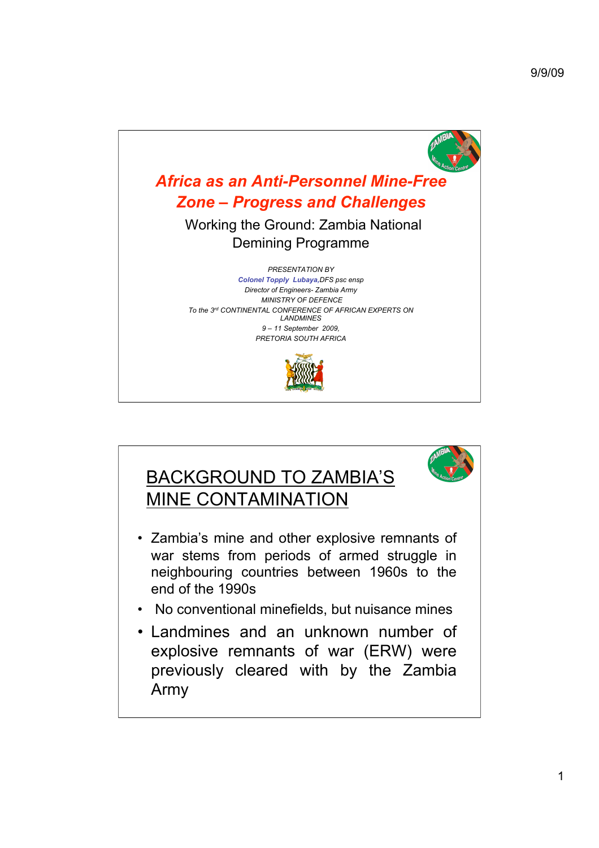



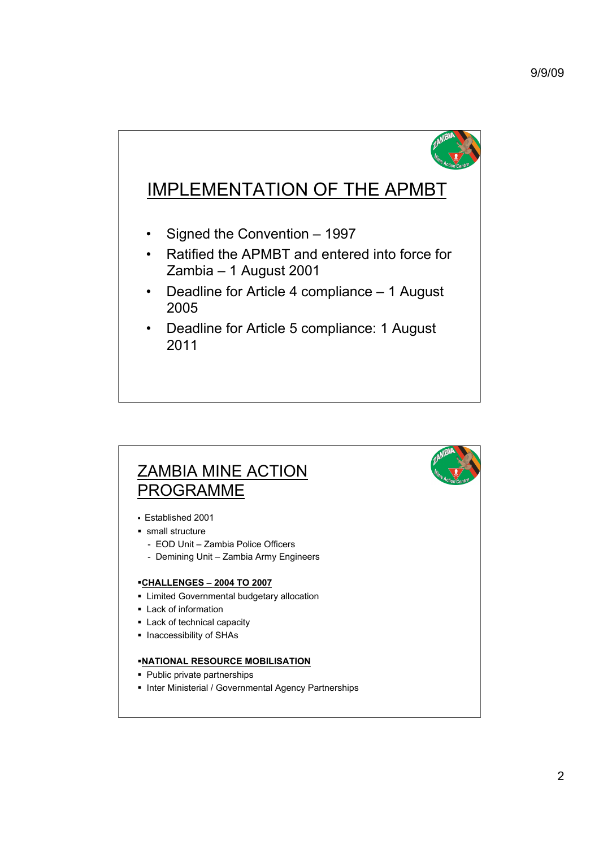

## IMPLEMENTATION OF THE APMBT

- Signed the Convention 1997
- Ratified the APMBT and entered into force for Zambia – 1 August 2001
- Deadline for Article 4 compliance 1 August 2005
- Deadline for Article 5 compliance: 1 August 2011

## ZAMBIA MINE ACTION PROGRAMME

- Established 2001
- small structure
	- EOD Unit Zambia Police Officers
	- Demining Unit Zambia Army Engineers

## **CHALLENGES – 2004 TO 2007**

- **EXEC** Limited Governmental budgetary allocation
- **Lack of information**
- **Lack of technical capacity**
- **Inaccessibility of SHAs**

## **NATIONAL RESOURCE MOBILISATION**

- Public private partnerships
- Inter Ministerial / Governmental Agency Partnerships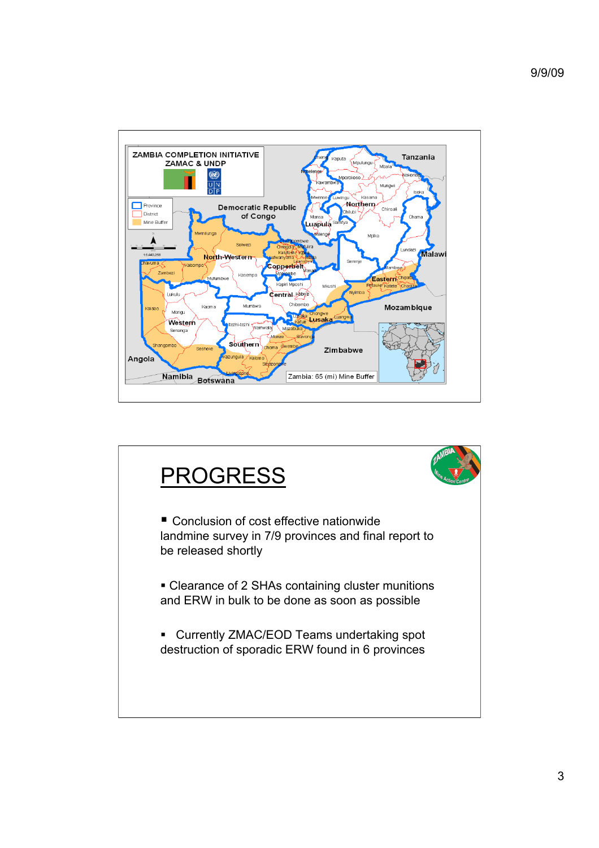

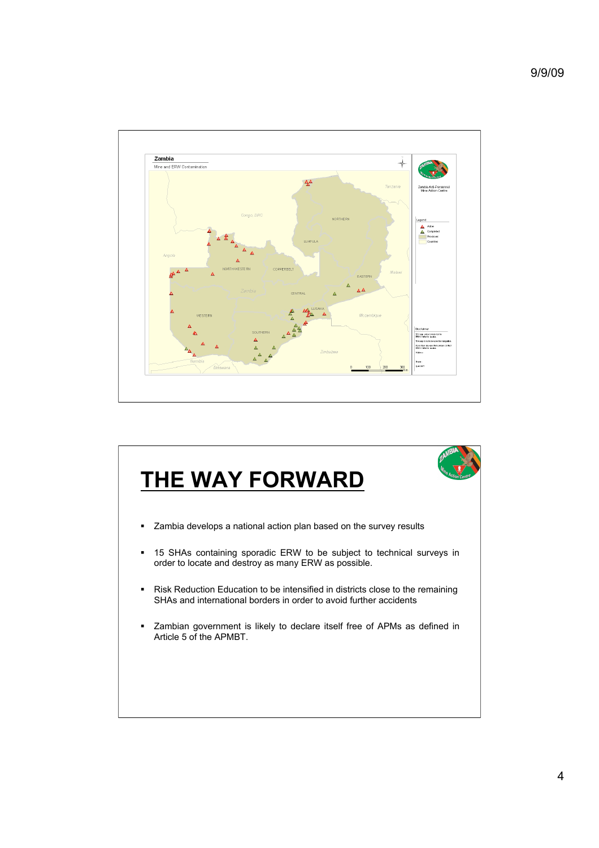